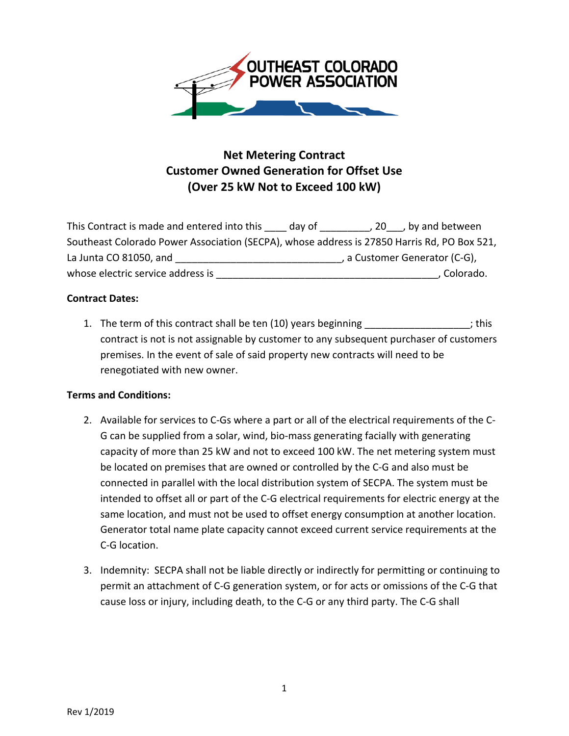

## **Net Metering Contract Customer Owned Generation for Offset Use (Over 25 kW Not to Exceed 100 kW)**

| This Contract is made and entered into this                                                 | dav of | $, 20$ , by and between       |
|---------------------------------------------------------------------------------------------|--------|-------------------------------|
| Southeast Colorado Power Association (SECPA), whose address is 27850 Harris Rd, PO Box 521, |        |                               |
| La Junta CO 81050, and                                                                      |        | , a Customer Generator (C-G), |
| whose electric service address is                                                           |        | Colorado.                     |

## **Contract Dates:**

1. The term of this contract shall be ten (10) years beginning \_\_\_\_\_\_\_\_\_\_\_\_\_\_\_\_\_\_; this contract is not is not assignable by customer to any subsequent purchaser of customers premises. In the event of sale of said property new contracts will need to be renegotiated with new owner.

## **Terms and Conditions:**

- 2. Available for services to C‐Gs where a part or all of the electrical requirements of the C‐ G can be supplied from a solar, wind, bio‐mass generating facially with generating capacity of more than 25 kW and not to exceed 100 kW. The net metering system must be located on premises that are owned or controlled by the C‐G and also must be connected in parallel with the local distribution system of SECPA. The system must be intended to offset all or part of the C‐G electrical requirements for electric energy at the same location, and must not be used to offset energy consumption at another location. Generator total name plate capacity cannot exceed current service requirements at the C‐G location.
- 3. Indemnity: SECPA shall not be liable directly or indirectly for permitting or continuing to permit an attachment of C‐G generation system, or for acts or omissions of the C‐G that cause loss or injury, including death, to the C‐G or any third party. The C‐G shall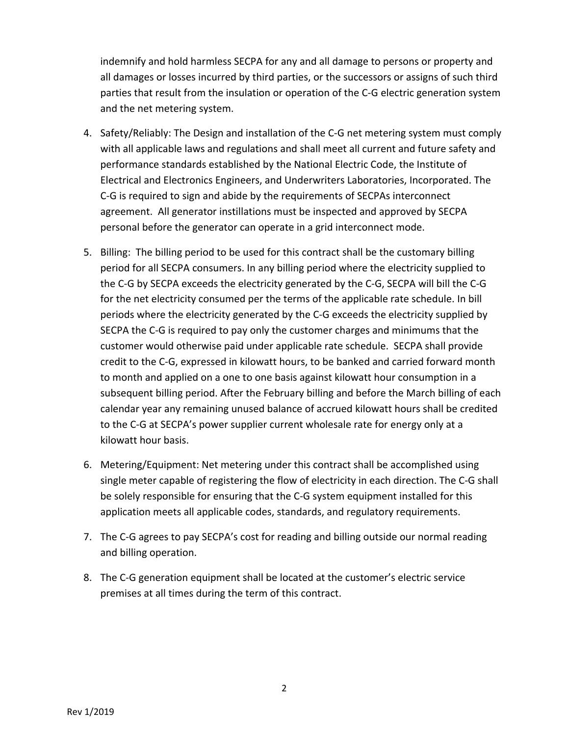indemnify and hold harmless SECPA for any and all damage to persons or property and all damages or losses incurred by third parties, or the successors or assigns of such third parties that result from the insulation or operation of the C‐G electric generation system and the net metering system.

- 4. Safety/Reliably: The Design and installation of the C-G net metering system must comply with all applicable laws and regulations and shall meet all current and future safety and performance standards established by the National Electric Code, the Institute of Electrical and Electronics Engineers, and Underwriters Laboratories, Incorporated. The C‐G is required to sign and abide by the requirements of SECPAs interconnect agreement. All generator instillations must be inspected and approved by SECPA personal before the generator can operate in a grid interconnect mode.
- 5. Billing: The billing period to be used for this contract shall be the customary billing period for all SECPA consumers. In any billing period where the electricity supplied to the C‐G by SECPA exceeds the electricity generated by the C‐G, SECPA will bill the C‐G for the net electricity consumed per the terms of the applicable rate schedule. In bill periods where the electricity generated by the C‐G exceeds the electricity supplied by SECPA the C‐G is required to pay only the customer charges and minimums that the customer would otherwise paid under applicable rate schedule. SECPA shall provide credit to the C‐G, expressed in kilowatt hours, to be banked and carried forward month to month and applied on a one to one basis against kilowatt hour consumption in a subsequent billing period. After the February billing and before the March billing of each calendar year any remaining unused balance of accrued kilowatt hours shall be credited to the C‐G at SECPA's power supplier current wholesale rate for energy only at a kilowatt hour basis.
- 6. Metering/Equipment: Net metering under this contract shall be accomplished using single meter capable of registering the flow of electricity in each direction. The C‐G shall be solely responsible for ensuring that the C‐G system equipment installed for this application meets all applicable codes, standards, and regulatory requirements.
- 7. The C‐G agrees to pay SECPA's cost for reading and billing outside our normal reading and billing operation.
- 8. The C‐G generation equipment shall be located at the customer's electric service premises at all times during the term of this contract.